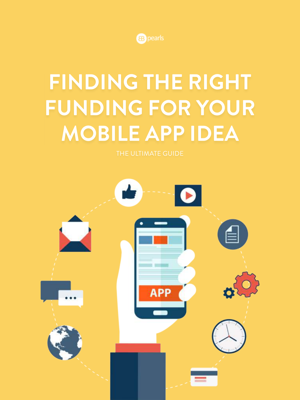

# **FINDING THE RIGHT FUNDING FOR YOUR MOBILE APP IDEA**

THE ULTIMATE GUIDE

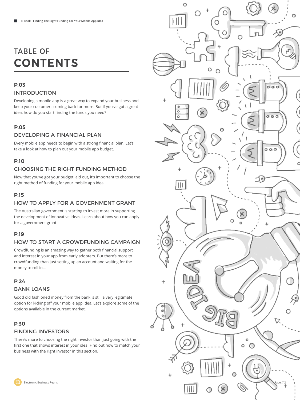# TABLE OF **CONTENTS**

#### **P.03** INTRODUCTION

Developing a mobile app is a great way to expand your business and keep your customers coming back for more. But if you've got a great idea, how do you start finding the funds you need?

#### **P.05**

#### DEVELOPING A FINANCIAL PLAN

Every mobile app needs to begin with a strong financial plan. Let's take a look at how to plan out your mobile app budget.

#### **P.10**

#### CHOOSING THE RIGHT FUNDING METHOD

Now that you've got your budget laid out, it's important to choose the right method of funding for your mobile app idea.

#### **P.15**

#### HOW TO APPLY FOR A GOVERNMENT GRANT

The Australian government is starting to invest more in supporting the development of innovative ideas. Learn about how you can apply for a government grant.

#### **P.19**

#### HOW TO START A CROWDFUNDING CAMPAIGN

Crowdfunding is an amazing way to gather both financial support and interest in your app from early adopters. But there's more to crowdfunding than just setting up an account and waiting for the money to roll in…

#### **P.24**

#### BANK LOANS

Good old fashioned money from the bank is still a very legitimate option for kicking off your mobile app idea. Let's explore some of the options available in the current market.

# **P.30**

#### FINDING INVESTORS

There's more to choosing the right investor than just going with the first one that shows interest in your idea. Find out how to match your business with the right investor in this section.

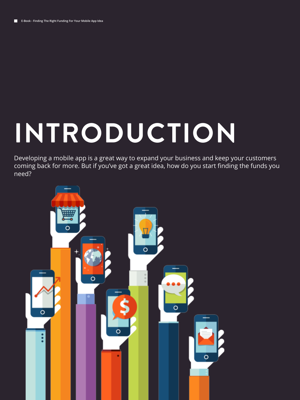# **INTRODUCTION**

Developing a mobile app is a great way to expand your business and keep your customers coming back for more. But if you've got a great idea, how do you start finding the funds you need?

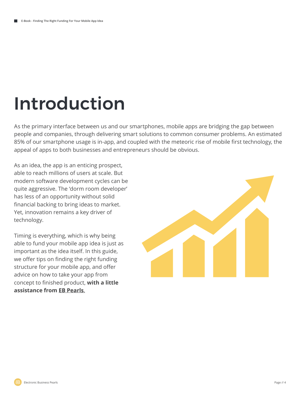# Introduction

As the primary interface between us and our smartphones, mobile apps are bridging the gap between people and companies, through delivering smart solutions to common consumer problems. An estimated 85% of our smartphone usage is in-app, and coupled with the meteoric rise of mobile first technology, the appeal of apps to both businesses and entrepreneurs should be obvious.

As an idea, the app is an enticing prospect, able to reach millions of users at scale. But modern software development cycles can be quite aggressive. The 'dorm room developer' has less of an opportunity without solid financial backing to bring ideas to market. Yet, innovation remains a key driver of technology.

Timing is everything, which is why being able to fund your mobile app idea is just as important as the idea itself. In this guide, we offer tips on finding the right funding structure for your mobile app, and offer advice on how to take your app from concept to finished product, **with a little assistance from EB Pearls**.

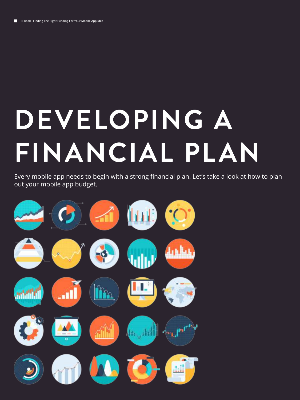# **DEVELOPING A FINANCIAL PLAN**

Every mobile app needs to begin with a strong financial plan. Let's take a look at how to plan out your mobile app budget.

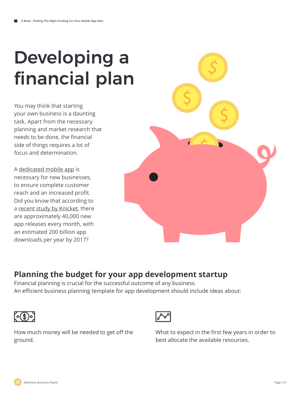# Developing a financial plan

You may think that starting your own business is a daunting task. Apart from the necessary planning and market research that needs to be done, the financial side of things requires a lot of focus and determination.

A dedicated mobile app is necessary for new businesses, to ensure complete customer reach and an increased profit. Did you know that according to a recent study by Knicket, there are approximately 40,000 new app releases every month, with an estimated 200 billion app downloads per year by 2017?



# **Planning the budget for your app development startup**

Financial planning is crucial for the successful outcome of any business. An efficient business planning template for app development should include ideas about:





How much money will be needed to get off the ground.

What to expect in the first few years in order to best allocate the available resources.

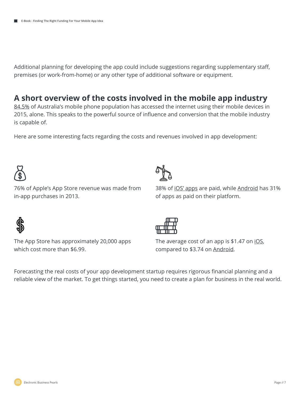Additional planning for developing the app could include suggestions regarding supplementary staff, premises (or work-from-home) or any other type of additional software or equipment.

# **A short overview of the costs involved in the mobile app industry**

84.5% of Australia's mobile phone population has accessed the internet using their mobile devices in 2015, alone. This speaks to the powerful source of influence and conversion that the mobile industry is capable of.

Here are some interesting facts regarding the costs and revenues involved in app development:



76% of Apple's App Store revenue was made from in-app purchases in 2013.



38% of iOS' apps are paid, while Android has 31% of apps as paid on their platform.



The App Store has approximately 20,000 apps which cost more than \$6.99.



The average cost of an app is  $$1.47$  on iOS, compared to \$3.74 on Android.

Forecasting the real costs of your app development startup requires rigorous financial planning and a reliable view of the market. To get things started, you need to create a plan for business in the real world.

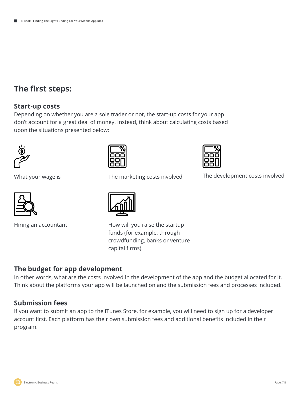## **The first steps:**

#### **Start-up costs**

Depending on whether you are a sole trader or not, the start-up costs for your app don't account for a great deal of money. Instead, think about calculating costs based upon the situations presented below:







What your wage is The development costs involved The marketing costs involved





Hiring an accountant How will you raise the startup funds (for example, through crowdfunding, banks or venture capital firms).

### **The budget for app development**

In other words, what are the costs involved in the development of the app and the budget allocated for it. Think about the platforms your app will be launched on and the submission fees and processes included.

#### **Submission fees**

If you want to submit an app to the iTunes Store, for example, you will need to sign up for a developer account first. Each platform has their own submission fees and additional benefits included in their program.

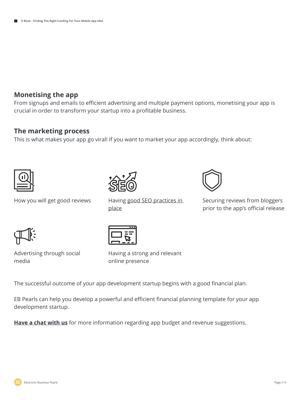#### **Monetising the app**

From signups and emails to efficient advertising and multiple payment options, monetising your app is crucial in order to transform your startup into a profitable business.

#### **The marketing process**

This is what makes your app go viral! If you want to market your app accordingly, think about:







How you will get good reviews Having good SEO practices in Securing reviews from bloggers prior to the app's official release





place

Advertising through social media

Having a strong and relevant online presence

Having good SEO practices in

The successful outcome of your app development startup begins with a good financial plan.

EB Pearls can help you develop a powerful and efficient financial planning template for your app development startup.

**Have a chat with us** for more information regarding app budget and revenue suggestions.

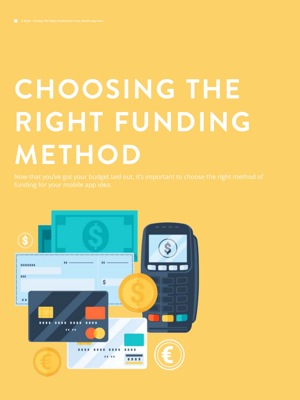# **CHOOSING THE RIGHT FUNDING METHOD**

Now that you've got your budget laid out, it's important to choose the right method of funding for your mobile app idea.

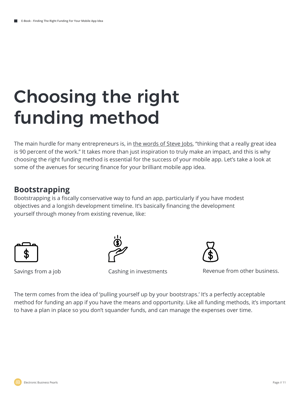# Choosing the right funding method

The main hurdle for many entrepreneurs is, in the words of Steve Jobs, "thinking that a really great idea is 90 percent of the work." It takes more than just inspiration to truly make an impact, and this is why choosing the right funding method is essential for the success of your mobile app. Let's take a look at some of the avenues for securing finance for your brilliant mobile app idea.

## **Bootstrapping**

Bootstrapping is a fiscally conservative way to fund an app, particularly if you have modest objectives and a longish development timeline. It's basically financing the development yourself through money from existing revenue, like:





Savings from a job Cashing in investments Revenue from other business.

The term comes from the idea of 'pulling yourself up by your bootstraps.' It's a perfectly acceptable method for funding an app if you have the means and opportunity. Like all funding methods, it's important to have a plan in place so you don't squander funds, and can manage the expenses over time.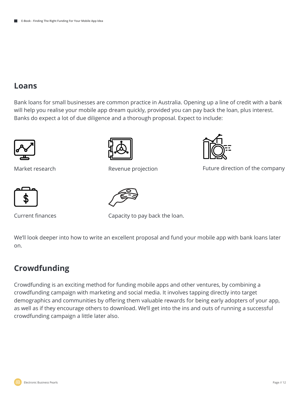## **Loans**

Bank loans for small businesses are common practice in Australia. Opening up a line of credit with a bank will help you realise your mobile app dream quickly, provided you can pay back the loan, plus interest. Banks do expect a lot of due diligence and a thorough proposal. Expect to include:





Revenue projection



Market research **Future direction** Revenue projection **Future direction of the company** 



Current finances



Capacity to pay back the loan.

We'll look deeper into how to write an excellent proposal and fund your mobile app with bank loans later on.

# **Crowdfunding**

Crowdfunding is an exciting method for funding mobile apps and other ventures, by combining a crowdfunding campaign with marketing and social media. It involves tapping directly into target demographics and communities by offering them valuable rewards for being early adopters of your app, as well as if they encourage others to download. We'll get into the ins and outs of running a successful crowdfunding campaign a little later also.

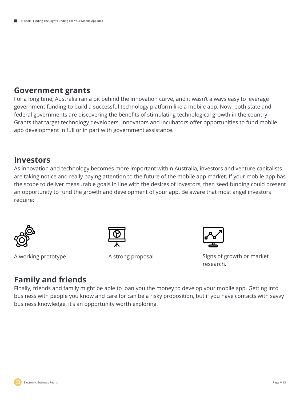### **Government grants**

For a long time, Australia ran a bit behind the innovation curve, and it wasn't always easy to leverage government funding to build a successful technology platform like a mobile app. Now, both state and federal governments are discovering the benefits of stimulating technological growth in the country. Grants that target technology developers, innovators and incubators offer opportunities to fund mobile app development in full or in part with government assistance.

### **Investors**

As innovation and technology becomes more important within Australia, investors and venture capitalists are taking notice and really paying attention to the future of the mobile app market. If your mobile app has the scope to deliver measurable goals in line with the desires of investors, then seed funding could present an opportunity to fund the growth and development of your app. Be aware that most angel investors require:



A working prototype A strong proposal





Signs of growth or market research.

# **Family and friends**

Finally, friends and family might be able to loan you the money to develop your mobile app. Getting into business with people you know and care for can be a risky proposition, but if you have contacts with savvy business knowledge, it's an opportunity worth exploring.

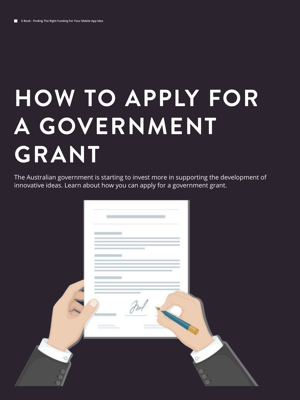# **HOW TO APPLY FOR A GOVERNMENT GRANT**

The Australian government is starting to invest more in supporting the development of innovative ideas. Learn about how you can apply for a government grant.

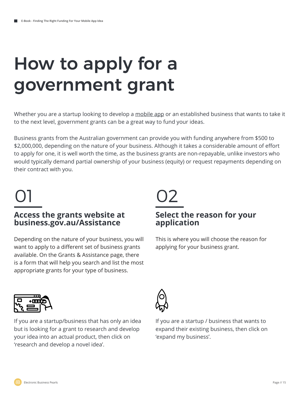# How to apply for a government grant

Whether you are a startup looking to develop a mobile app or an established business that wants to take it to the next level, government grants can be a great way to fund your ideas.

Business grants from the Australian government can provide you with funding anywhere from \$500 to \$2,000,000, depending on the nature of your business. Although it takes a considerable amount of effort to apply for one, it is well worth the time, as the business grants are non-repayable, unlike investors who would typically demand partial ownership of your business (equity) or request repayments depending on their contract with you.

# 01 02

### **Access the grants website at business.gov.au/Assistance**

Depending on the nature of your business, you will want to apply to a different set of business grants available. On the Grants & Assistance page, there is a form that will help you search and list the most appropriate grants for your type of business.

## **Select the reason for your application**

This is where you will choose the reason for applying for your business grant.



If you are a startup/business that has only an idea but is looking for a grant to research and develop your idea into an actual product, then click on 'research and develop a novel idea'.



If you are a startup / business that wants to expand their existing business, then click on 'expand my business'.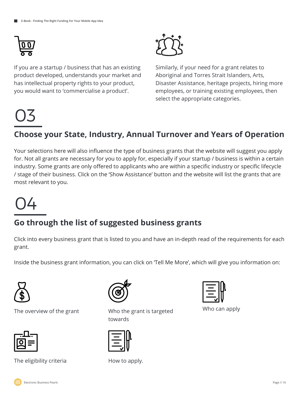

03

If you are a startup / business that has an existing product developed, understands your market and has intellectual property rights to your product, you would want to 'commercialise a product'.



Similarly, if your need for a grant relates to Aboriginal and Torres Strait Islanders, Arts, Disaster Assistance, heritage projects, hiring more employees, or training existing employees, then select the appropriate categories.

# **Choose your State, Industry, Annual Turnover and Years of Operation**

Your selections here will also influence the type of business grants that the website will suggest you apply for. Not all grants are necessary for you to apply for, especially if your startup / business is within a certain industry. Some grants are only offered to applicants who are within a specific industry or specific lifecycle / stage of their business. Click on the 'Show Assistance' button and the website will list the grants that are most relevant to you.



# **Go through the list of suggested business grants**

Click into every business grant that is listed to you and have an in-depth read of the requirements for each grant.

Inside the business grant information, you can click on 'Tell Me More', which will give you information on:



The overview of the grant Who the grant is targeted



The eligibility criteria **How** to apply.



towards





Who can apply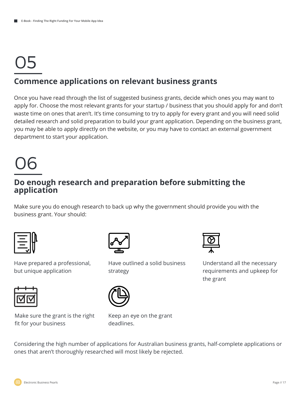# 05 **Commence applications on relevant business grants**

#### Once you have read through the list of suggested business grants, decide which ones you may want to apply for. Choose the most relevant grants for your startup / business that you should apply for and don't waste time on ones that aren't. It's time consuming to try to apply for every grant and you will need solid detailed research and solid preparation to build your grant application. Depending on the business grant, you may be able to apply directly on the website, or you may have to contact an external government department to start your application.

# 06

## **Do enough research and preparation before submitting the application**

Make sure you do enough research to back up why the government should provide you with the business grant. Your should:





Have prepared a professional, but unique application



Make sure the grant is the right fit for your business



Have outlined a solid business strategy



Understand all the necessary requirements and upkeep for the grant



Keep an eye on the grant deadlines.

Considering the high number of applications for Australian business grants, half-complete applications or ones that aren't thoroughly researched will most likely be rejected.

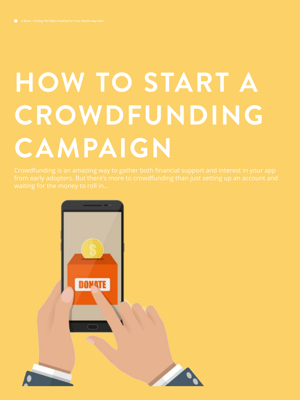# **HOW TO START A CROWDFUNDING CAMPAIGN**

Crowdfunding is an amazing way to gather both financial support and interest in your app

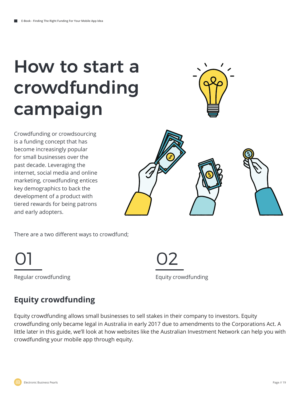# How to start a crowdfunding campaign



Crowdfunding or crowdsourcing is a funding concept that has become increasingly popular for small businesses over the past decade. Leveraging the internet, social media and online marketing, crowdfunding entices key demographics to back the development of a product with tiered rewards for being patrons and early adopters.



There are a two different ways to crowdfund;



Regular crowdfunding The Contract Contract Contract Contract Contract Contract Contract Contract Contract Contract Contract Contract Contract Contract Contract Contract Contract Contract Contract Contract Contract Contract

# **Equity crowdfunding**

Equity crowdfunding allows small businesses to sell stakes in their company to investors. Equity crowdfunding only became legal in Australia in early 2017 due to amendments to the Corporations Act. A little later in this guide, we'll look at how websites like the Australian Investment Network can help you with crowdfunding your mobile app through equity.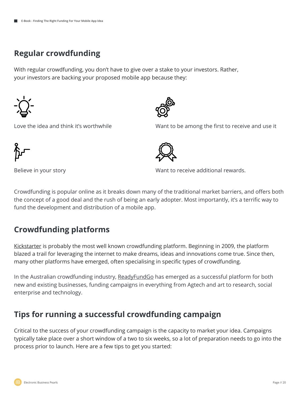# **Regular crowdfunding**

With regular crowdfunding, you don't have to give over a stake to your investors. Rather, your investors are backing your proposed mobile app because they:



Love the idea and think it's worthwhile



Believe in your story

Want to be among the first to receive and use it



Want to receive additional rewards.

Crowdfunding is popular online as it breaks down many of the traditional market barriers, and offers both the concept of a good deal and the rush of being an early adopter. Most importantly, it's a terrific way to fund the development and distribution of a mobile app.

# **Crowdfunding platforms**

Kickstarter is probably the most well known crowdfunding platform. Beginning in 2009, the platform blazed a trail for leveraging the internet to make dreams, ideas and innovations come true. Since then, many other platforms have emerged, often specialising in specific types of crowdfunding.

In the Australian crowdfunding industry, ReadyFundGo has emerged as a successful platform for both new and existing businesses, funding campaigns in everything from Agtech and art to research, social enterprise and technology.

# **Tips for running a successful crowdfunding campaign**

Critical to the success of your crowdfunding campaign is the capacity to market your idea. Campaigns typically take place over a short window of a two to six weeks, so a lot of preparation needs to go into the process prior to launch. Here are a few tips to get you started: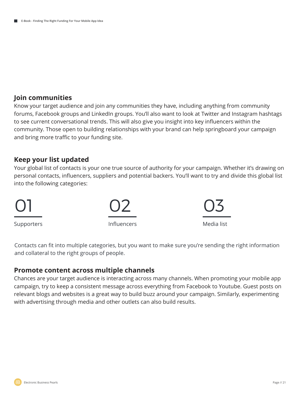#### **Join communities**

Know your target audience and join any communities they have, including anything from community forums, Facebook groups and LinkedIn groups. You'll also want to look at Twitter and Instagram hashtags to see current conversational trends. This will also give you insight into key influencers within the community. Those open to building relationships with your brand can help springboard your campaign and bring more traffic to your funding site.

#### **Keep your list updated**

Your global list of contacts is your one true source of authority for your campaign. Whether it's drawing on personal contacts, influencers, suppliers and potential backers. You'll want to try and divide this global list into the following categories:



Contacts can fit into multiple categories, but you want to make sure you're sending the right information and collateral to the right groups of people.

#### **Promote content across multiple channels**

Chances are your target audience is interacting across many channels. When promoting your mobile app campaign, try to keep a consistent message across everything from Facebook to Youtube. Guest posts on relevant blogs and websites is a great way to build buzz around your campaign. Similarly, experimenting with advertising through media and other outlets can also build results.

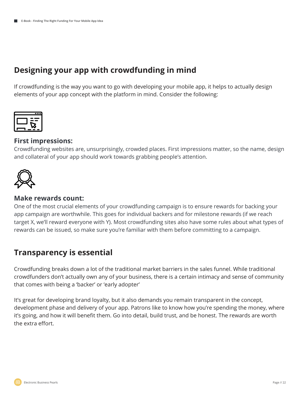# **Designing your app with crowdfunding in mind**

If crowdfunding is the way you want to go with developing your mobile app, it helps to actually design elements of your app concept with the platform in mind. Consider the following:



#### **First impressions:**

Crowdfunding websites are, unsurprisingly, crowded places. First impressions matter, so the name, design and collateral of your app should work towards grabbing people's attention.



#### **Make rewards count:**

One of the most crucial elements of your crowdfunding campaign is to ensure rewards for backing your app campaign are worthwhile. This goes for individual backers and for milestone rewards (if we reach target X, we'll reward everyone with Y). Most crowdfunding sites also have some rules about what types of rewards can be issued, so make sure you're familiar with them before committing to a campaign.

## **Transparency is essential**

Crowdfunding breaks down a lot of the traditional market barriers in the sales funnel. While traditional crowdfunders don't actually own any of your business, there is a certain intimacy and sense of community that comes with being a 'backer' or 'early adopter'

It's great for developing brand loyalty, but it also demands you remain transparent in the concept, development phase and delivery of your app. Patrons like to know how you're spending the money, where it's going, and how it will benefit them. Go into detail, build trust, and be honest. The rewards are worth the extra effort.

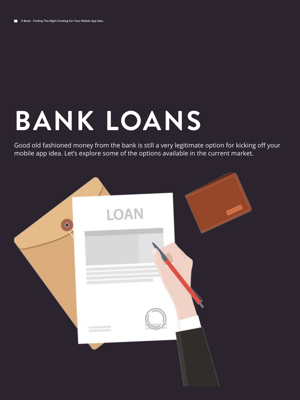# **BANK LOANS**

Good old fashioned money from the bank is still a very legitimate option for kicking off your mobile app idea. Let's explore some of the options available in the current market.

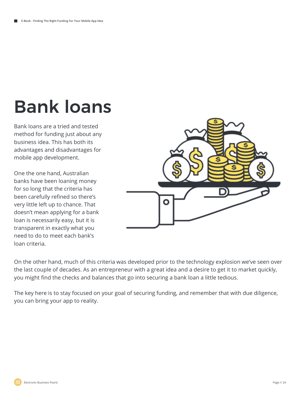# Bank loans

Bank loans are a tried and tested method for funding just about any business idea. This has both its advantages and disadvantages for mobile app development.

One the one hand, Australian banks have been loaning money for so long that the criteria has been carefully refined so there's very little left up to chance. That doesn't mean applying for a bank loan is necessarily easy, but it is transparent in exactly what you need to do to meet each bank's loan criteria.



On the other hand, much of this criteria was developed prior to the technology explosion we've seen over the last couple of decades. As an entrepreneur with a great idea and a desire to get it to market quickly, you might find the checks and balances that go into securing a bank loan a little tedious.

The key here is to stay focused on your goal of securing funding, and remember that with due diligence, you can bring your app to reality.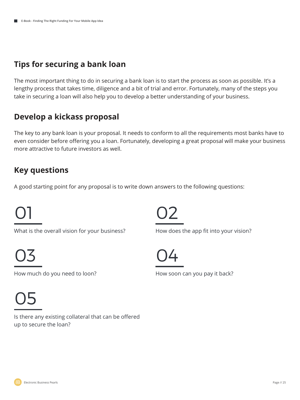# **Tips for securing a bank loan**

The most important thing to do in securing a bank loan is to start the process as soon as possible. It's a lengthy process that takes time, diligence and a bit of trial and error. Fortunately, many of the steps you take in securing a loan will also help you to develop a better understanding of your business.

# **Develop a kickass proposal**

The key to any bank loan is your proposal. It needs to conform to all the requirements most banks have to even consider before offering you a loan. Fortunately, developing a great proposal will make your business more attractive to future investors as well.

## **Key questions**

A good starting point for any proposal is to write down answers to the following questions:

# 01

What is the overall vision for your business?

03 04

How much do you need to loon? How soon can you pay it back?

05

Is there any existing collateral that can be offered up to secure the loan?



How does the app fit into your vision?

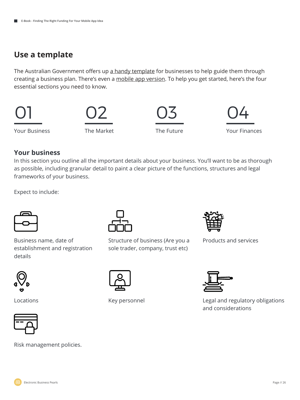## **Use a template**

The Australian Government offers up a handy template for businesses to help guide them through creating a business plan. There's even a mobile app version. To help you get started, here's the four essential sections you need to know.



#### **Your business**

In this section you outline all the important details about your business. You'll want to be as thorough as possible, including granular detail to paint a clear picture of the functions, structures and legal frameworks of your business.

Expect to include:



Business name, date of establishment and registration details





Structure of business (Are you a Products and services sole trader, company, trust etc)





Locations **Key personnel** 



Legal and regulatory obligations and considerations



Risk management policies.

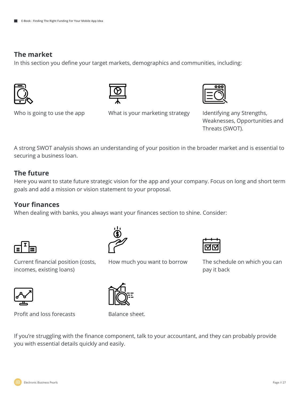#### **The market**

In this section you define your target markets, demographics and communities, including:





Who is going to use the app

What is your marketing strategy ldentifying any Strengths,



Weaknesses, Opportunities and Threats (SWOT).

A strong SWOT analysis shows an understanding of your position in the broader market and is essential to securing a business loan.

#### **The future**

Here you want to state future strategic vision for the app and your company. Focus on long and short term goals and add a mission or vision statement to your proposal.

### **Your finances**

When dealing with banks, you always want your finances section to shine. Consider:





Current financial position (costs, incomes, existing loans)



The schedule on which you can pay it back

Profit and loss forecasts Balance sheet.

How much you want to borrow



If you're struggling with the finance component, talk to your accountant, and they can probably provide you with essential details quickly and easily.

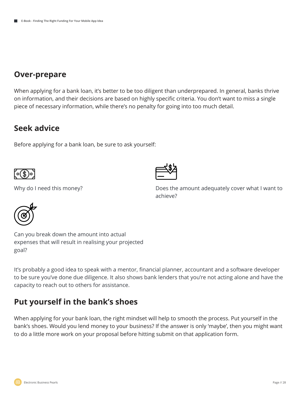## **Over-prepare**

When applying for a bank loan, it's better to be too diligent than underprepared. In general, banks thrive on information, and their decisions are based on highly specific criteria. You don't want to miss a single piece of necessary information, while there's no penalty for going into too much detail.

## **Seek advice**

Before applying for a bank loan, be sure to ask yourself:





Why do I need this money? The same of the amount adequately cover what I want to achieve?



Can you break down the amount into actual expenses that will result in realising your projected goal?

It's probably a good idea to speak with a mentor, financial planner, accountant and a software developer to be sure you've done due diligence. It also shows bank lenders that you're not acting alone and have the capacity to reach out to others for assistance.

# **Put yourself in the bank's shoes**

When applying for your bank loan, the right mindset will help to smooth the process. Put yourself in the bank's shoes. Would you lend money to your business? If the answer is only 'maybe', then you might want to do a little more work on your proposal before hitting submit on that application form.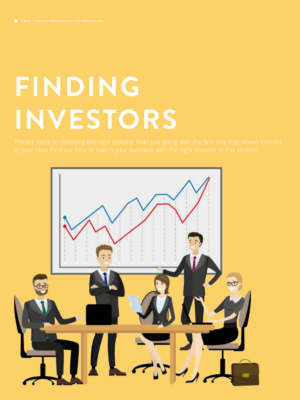# **FINDING INVESTORS**

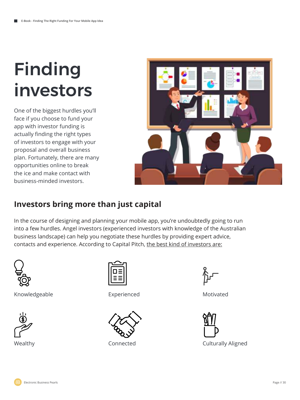# Finding investors

One of the biggest hurdles you'll face if you choose to fund your app with investor funding is actually finding the right types of investors to engage with your proposal and overall business plan. Fortunately, there are many opportunities online to break the ice and make contact with business-minded investors.



# **Investors bring more than just capital**

In the course of designing and planning your mobile app, you're undoubtedly going to run into a few hurdles. Angel investors (experienced investors with knowledge of the Australian business landscape) can help you negotiate these hurdles by providing expert advice, contacts and experience. According to Capital Pitch, the best kind of investors are:



Knowledgeable





Experienced Motivated





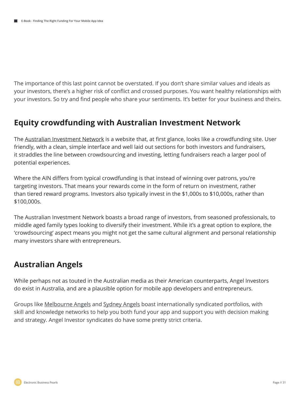The importance of this last point cannot be overstated. If you don't share similar values and ideals as your investors, there's a higher risk of conflict and crossed purposes. You want healthy relationships with your investors. So try and find people who share your sentiments. It's better for your business and theirs.

## **Equity crowdfunding with Australian Investment Network**

The Australian Investment Network is a website that, at first glance, looks like a crowdfunding site. User friendly, with a clean, simple interface and well laid out sections for both investors and fundraisers, it straddles the line between crowdsourcing and investing, letting fundraisers reach a larger pool of potential experiences.

Where the AIN differs from typical crowdfunding is that instead of winning over patrons, you're targeting investors. That means your rewards come in the form of return on investment, rather than tiered reward programs. Investors also typically invest in the \$1,000s to \$10,000s, rather than \$100,000s.

The Australian Investment Network boasts a broad range of investors, from seasoned professionals, to middle aged family types looking to diversify their investment. While it's a great option to explore, the 'crowdsourcing' aspect means you might not get the same cultural alignment and personal relationship many investors share with entrepreneurs.

# **Australian Angels**

While perhaps not as touted in the Australian media as their American counterparts, Angel Investors do exist in Australia, and are a plausible option for mobile app developers and entrepreneurs.

Groups like Melbourne Angels and Sydney Angels boast internationally syndicated portfolios, with skill and knowledge networks to help you both fund your app and support you with decision making and strategy. Angel Investor syndicates do have some pretty strict criteria.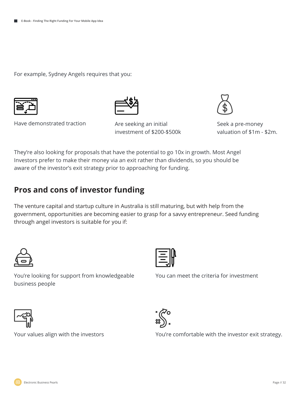For example, Sydney Angels requires that you:







Are seeking an initial investment of \$200-\$500k



Seek a pre-money valuation of \$1m - \$2m.

They're also looking for proposals that have the potential to go 10x in growth. Most Angel Investors prefer to make their money via an exit rather than dividends, so you should be aware of the investor's exit strategy prior to approaching for funding.

# **Pros and cons of investor funding**

You're looking for support from knowledgeable

The venture capital and startup culture in Australia is still maturing, but with help from the government, opportunities are becoming easier to grasp for a savvy entrepreneur. Seed funding through angel investors is suitable for you if:



business people



You can meet the criteria for investment





Your values align with the investors You're comfortable with the investor exit strategy.

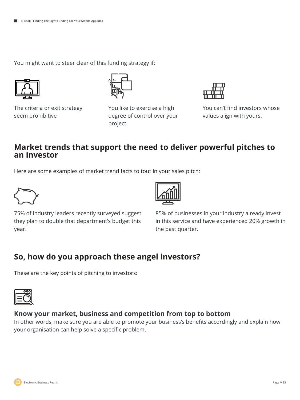You might want to steer clear of this funding strategy if:



The criteria or exit strategy seem prohibitive

You like to exercise a high degree of control over your project



You can't find investors whose values align with yours.

### **Market trends that support the need to deliver powerful pitches to an investor**

Here are some examples of market trend facts to tout in your sales pitch:



75% of industry leaders recently surveyed suggest they plan to double that department's budget this year.



85% of businesses in your industry already invest in this service and have experienced 20% growth in the past quarter.

## **So, how do you approach these angel investors?**

These are the key points of pitching to investors:



#### **Know your market, business and competition from top to bottom**

In other words, make sure you are able to promote your business's benefits accordingly and explain how your organisation can help solve a specific problem.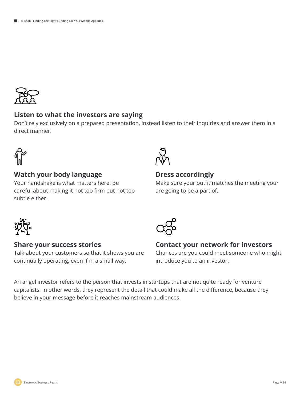

#### **Listen to what the investors are saying**

Don't rely exclusively on a prepared presentation, instead listen to their inquiries and answer them in a direct manner.



#### **Watch your body language**

Your handshake is what matters here! Be careful about making it not too firm but not too subtle either.



#### **Dress accordingly**

Make sure your outfit matches the meeting your are going to be a part of.



#### **Share your success stories**

Talk about your customers so that it shows you are continually operating, even if in a small way.



# **Contact your network for investors**

Chances are you could meet someone who might introduce you to an investor.

An angel investor refers to the person that invests in startups that are not quite ready for venture capitalists. In other words, they represent the detail that could make all the difference, because they believe in your message before it reaches mainstream audiences.

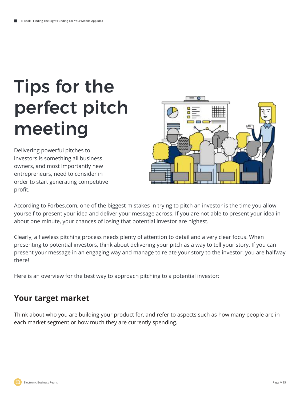# Tips for the perfect pitch meeting

Delivering powerful pitches to investors is something all business owners, and most importantly new entrepreneurs, need to consider in order to start generating competitive profit.



According to Forbes.com, one of the biggest mistakes in trying to pitch an investor is the time you allow yourself to present your idea and deliver your message across. If you are not able to present your idea in about one minute, your chances of losing that potential investor are highest.

Clearly, a flawless pitching process needs plenty of attention to detail and a very clear focus. When presenting to potential investors, think about delivering your pitch as a way to tell your story. If you can present your message in an engaging way and manage to relate your story to the investor, you are halfway there!

Here is an overview for the best way to approach pitching to a potential investor:

## **Your target market**

Think about who you are building your product for, and refer to aspects such as how many people are in each market segment or how much they are currently spending.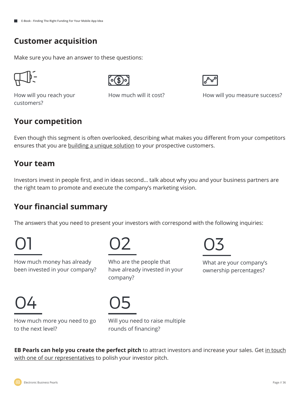## **Customer acquisition**

Make sure you have an answer to these questions:





How will you reach your customers?

How much will it cost?<br>
How will you measure success?

## **Your competition**

Even though this segment is often overlooked, describing what makes you different from your competitors ensures that you are building a unique solution to your prospective customers.

## **Your team**

Investors invest in people first, and in ideas second… talk about why you and your business partners are the right team to promote and execute the company's marketing vision.

# **Your financial summary**

The answers that you need to present your investors with correspond with the following inquiries:

Who are the people that

have already invested in your

How much money has already been invested in your company?

01 02

03

What are your company's ownership percentages?

04 05

company?

How much more you need to go to the next level?

Will you need to raise multiple rounds of financing?

**EB Pearls can help you create the perfect pitch** to attract investors and increase your sales. Get in touch with one of our representatives to polish your investor pitch.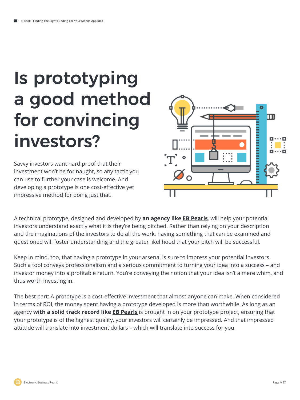# Is prototyping a good method for convincing investors?

Savvy investors want hard proof that their investment won't be for naught, so any tactic you can use to further your case is welcome. And developing a prototype is one cost-effective yet impressive method for doing just that.



A technical prototype, designed and developed by **an agency like EB Pearls**, will help your potential investors understand exactly what it is they're being pitched. Rather than relying on your description and the imaginations of the investors to do all the work, having something that can be examined and questioned will foster understanding and the greater likelihood that your pitch will be successful.

Keep in mind, too, that having a prototype in your arsenal is sure to impress your potential investors. Such a tool conveys professionalism and a serious commitment to turning your idea into a success – and investor money into a profitable return. You're conveying the notion that your idea isn't a mere whim, and thus worth investing in.

The best part: A prototype is a cost-effective investment that almost anyone can make. When considered in terms of ROI, the money spent having a prototype developed is more than worthwhile. As long as an agency **with a solid track record like EB Pearls** is brought in on your prototype project, ensuring that your prototype is of the highest quality, your investors will certainly be impressed. And that impressed attitude will translate into investment dollars – which will translate into success for you.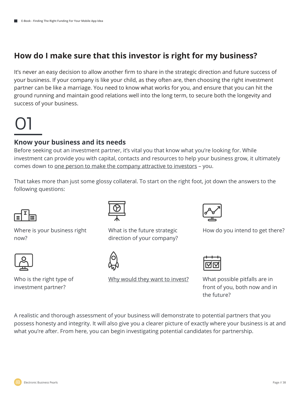# **How do I make sure that this investor is right for my business?**

It's never an easy decision to allow another firm to share in the strategic direction and future success of your business. If your company is like your child, as they often are, then choosing the right investment partner can be like a marriage. You need to know what works for you, and ensure that you can hit the ground running and maintain good relations well into the long term, to secure both the longevity and success of your business.

# 01

#### **Know your business and its needs**

Before seeking out an investment partner, it's vital you that know what you're looking for. While investment can provide you with capital, contacts and resources to help your business grow, it ultimately comes down to <u>one person to make the company attractive to investors</u> - you.

That takes more than just some glossy collateral. To start on the right foot, jot down the answers to the following questions:



Where is your business right now?



Who is the right type of investment partner?



What is the future strategic direction of your company?



Why would they want to invest?



How do you intend to get there?

What possible pitfalls are in front of you, both now and in the future?

A realistic and thorough assessment of your business will demonstrate to potential partners that you possess honesty and integrity. It will also give you a clearer picture of exactly where your business is at and what you're after. From here, you can begin investigating potential candidates for partnership.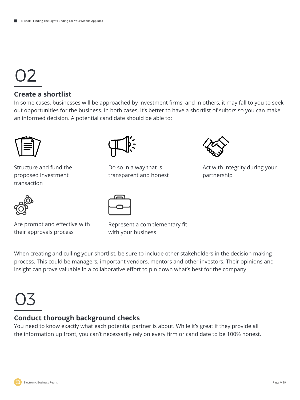# 02

#### **Create a shortlist**

In some cases, businesses will be approached by investment firms, and in others, it may fall to you to seek out opportunities for the business. In both cases, it's better to have a shortlist of suitors so you can make an informed decision. A potential candidate should be able to:



Structure and fund the proposed investment transaction



Are prompt and effective with their approvals process



Do so in a way that is transparent and honest



Represent a complementary fit with your business

When creating and culling your shortlist, be sure to include other stakeholders in the decision making process. This could be managers, important vendors, mentors and other investors. Their opinions and insight can prove valuable in a collaborative effort to pin down what's best for the company.

# 03

### **Conduct thorough background checks**

You need to know exactly what each potential partner is about. While it's great if they provide all the information up front, you can't necessarily rely on every firm or candidate to be 100% honest.

Act with integrity during your

partnership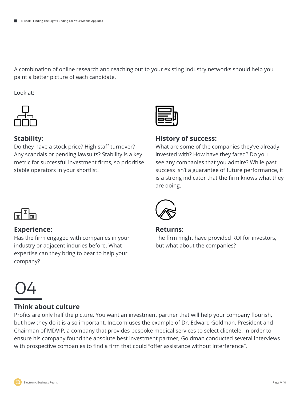A combination of online research and reaching out to your existing industry networks should help you paint a better picture of each candidate.

Look at:



#### **Stability:**

Do they have a stock price? High staff turnover? Any scandals or pending lawsuits? Stability is a key metric for successful investment firms, so prioritise stable operators in your shortlist.



#### **History of success:**

What are some of the companies they've already invested with? How have they fared? Do you see any companies that you admire? While past success isn't a guarantee of future performance, it is a strong indicator that the firm knows what they are doing.



#### **Experience:**

Has the firm engaged with companies in your industry or adjacent induries before. What expertise can they bring to bear to help your company?



#### **Returns:**

The firm might have provided ROI for investors, but what about the companies?

# 04

#### **Think about culture**

Profits are only half the picture. You want an investment partner that will help your company flourish, but how they do it is also important. Inc.com uses the example of Dr. Edward Goldman, President and Chairman of MDVIP, a company that provides bespoke medical services to select clientele. In order to ensure his company found the absolute best investment partner, Goldman conducted several interviews with prospective companies to find a firm that could "offer assistance without interference".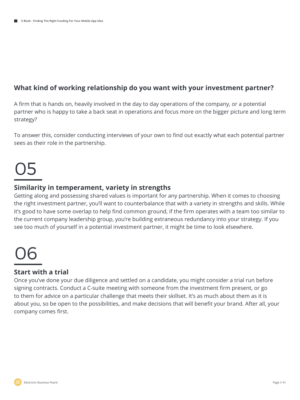#### **What kind of working relationship do you want with your investment partner?**

A firm that is hands on, heavily involved in the day to day operations of the company, or a potential partner who is happy to take a back seat in operations and focus more on the bigger picture and long term strategy?

To answer this, consider conducting interviews of your own to find out exactly what each potential partner sees as their role in the partnership.

# 05

#### **Similarity in temperament, variety in strengths**

Getting along and possessing shared values is important for any partnership. When it comes to choosing the right investment partner, you'll want to counterbalance that with a variety in strengths and skills. While it's good to have some overlap to help find common ground, if the firm operates with a team too similar to the current company leadership group, you're building extraneous redundancy into your strategy. If you see too much of yourself in a potential investment partner, it might be time to look elsewhere.

# 06

#### **Start with a trial**

Once you've done your due diligence and settled on a candidate, you might consider a trial run before signing contracts. Conduct a C-suite meeting with someone from the investment firm present, or go to them for advice on a particular challenge that meets their skillset. It's as much about them as it is about you, so be open to the possibilities, and make decisions that will benefit your brand. After all, your company comes first.

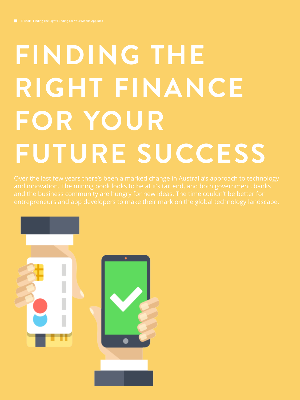# **FINDING THE RIGHT FINANCE FOR YOUR FUTURE SUCCESS**

Over the last few years there's been a marked change in Australia's approach to technology entrepreneurs and app developers to make their mark on the global technology landscape.